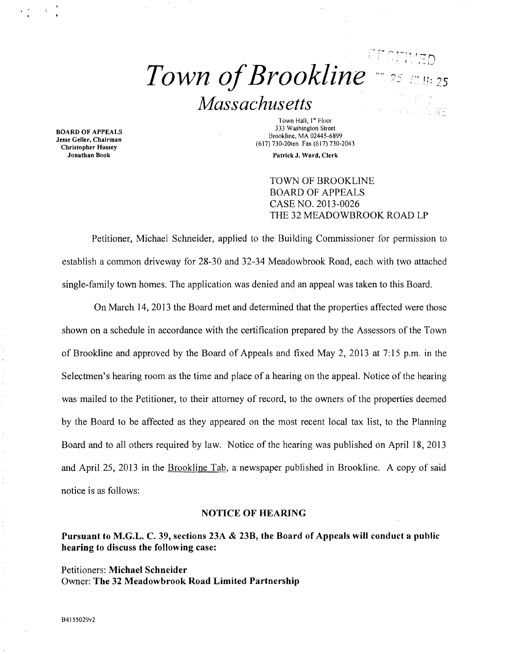# $\mathbb{P} \mathbb{P} \mathbb{P} \mathbb{P} \mathbb{P} \mathbb{P} \mathbb{P} \mathbb{P} \mathbb{P} \mathbb{P} \mathbb{P}$  $\emph{ Town of Brookline}$   $\emph{''s}$  and  $\emph{s}$ *Massachusetts*

BOARD OF APPEALS Jesse Geller, Chairman Christopher Hussey

Town Hall. I" Floor 333 Washington Street Brookline, MA 02445-6899 (617) 730-20ten Fax (617) 730-2043

Patrick J. Ward, Clerk

TOWN OF BROOKLINE BOARD OF APPEALS CASE NO. 2013·0026 THE 32 MEADOWBROOK ROAD LP

Petitioner, Michael Schneider, applied to the Building Commissioner for permission to establish a common driveway for 28-30 and 32-34 Meadowbrook Road, each with two attached single-family town homes. The application was denied and an appeal was taken to this Board.

On March 14, 2013 the Board met and determined that the properties affected were those shown on a schedule in accordance with the certification prepared by the Assessors of the Town of Brookline and approved by the Board of Appeals and fixed May 2,2013 at 7:15 p.m. in the Selectmen's hearing room as the time and place of a hearing on the appeal. Notice of the hearing was mailed to the Petitioner, to their attorney of record, to the owners of the properties deemed by the Board to be affected as they appeared on the most recent local tax list, to the Planning Board and to all others required by law. Notice of the hearing was published on April 18, 2013 and April 25, 2013 inthe Brookline Tab, a newspaper published in Brookline. A copy of said notice is as follows:

#### NOTICE OF HEARING

Pursuant to M.G.L. C. 39, sections 23A & 23B, the Board of Appeals will conduct a public hearing to discuss the following case:

Petitioners: Michael Schneider Owner: The 32 Meadowbrook Road Limited Partnership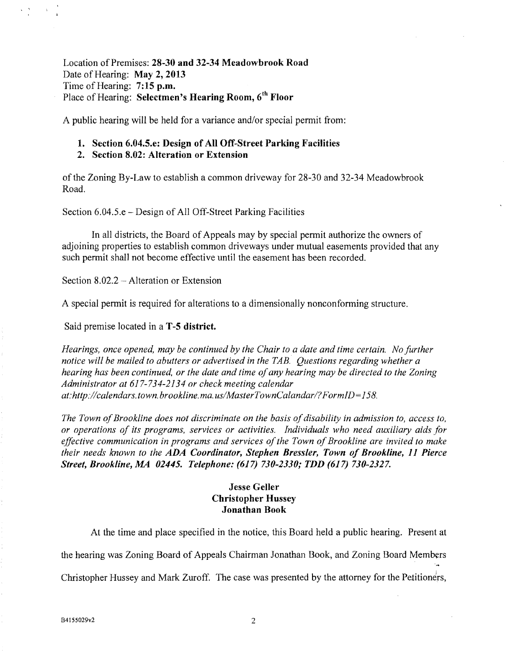Location of Premises: 28-30 and 32-34 Meadowbrook Road Date of Hearing: May 2, 2013 Time of Hearing: 7:15 p.m. Place of Hearing: Selectmen's Hearing Room, 6<sup>th</sup> Floor

A public hearing will be held for a variance and/or special permit from:

#### 1. Section 6.04.5.e: Design of All Off-Street Parking Facilities

### 2. Section 8.02: Alteration or Extension

of the Zoning By-Law to establish a common driveway for 28-30 and 32-34 Meadowbrook Road.

Section 6.04.5.e – Design of All Off-Street Parking Facilities

In all districts, the Board of Appeals may by special permit authorize the owners of adjoining properties to establish common driveways under mutual easements provided that any such permit shall not become effective until the easement has been recorded.

Section 8.02.2 – Alteration or Extension

A special permit is required for alterations to a dimensionally nonconforming structure.

Said premise located in a **T-5 district.** 

*Hearings, once opened, may be continued by the Chair to a date and time certain. No further notice will be mailed to abutters or advertised in the TAB. Questions regarding whether a hearing has been continued, or the date and time of any hearing may be directed to the Zoning Administrator at* 617-734-2134 *or check meeting calendar at:htlp://calendars. town. brookline. rna. uslMasterTownCalandarl? FormID=* 158.

The Town of Brookline does not discriminate on the basis of disability in admission to, access to, *or operations of its programs. services or activities. Individuals who need auxiliary aids for*  effective communication in programs and services of the Town of Brookline are invited to make *their needs known to the ADA Coordinator, Stephen Bressler, Town of Brookline, 11 Pierce Street, Brookline, MA 02445. Telephone:* (617) *730-2330; TDD* (617) *730-2327.* 

## Jesse Geller Christopher Hussey Jonathan Book

At the time and place specified in the notice, this Board held a public hearing. Present at the hearing was Zoning Board of Appeals Chairman Jonathan Book, and Zoning Board Members . Christopher Hussey and Mark Zuroff. The case was presented by the attorney for the Petitioners,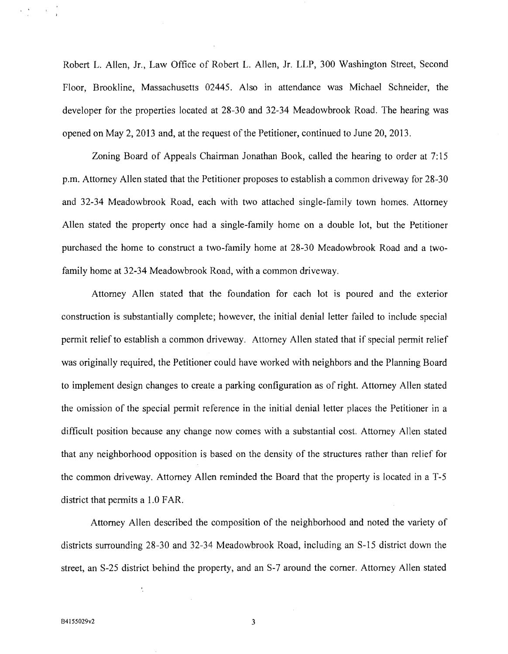Robert L. Allen, Jr., Law Office of Robert L. Allen, Jr. LLP, 300 Washington Street, Second Floor, Brookline, Massachusetts 02445. Also in attendance was Michael Schneider, the developer for the properties located at 28-30 and 32-34 Meadowbrook Road. The hearing was opened on May 2, 2013 and, at the request of the Petitioner, continued to June  $20$ ,  $2013$ .

Zoning Board of Appeals Chairman Jonathan Book, called the hearing to order at 7:15 p.m. Attorney Allen stated that the Petitioner proposes to establish a common driveway for 28-30 and 32-34 Meadowbrook Road, each with two attached single-family town homes. Attorney Allen stated the property once had a single-family home on a double lot, but the Petitioner purchased the home to construct a two-family home at 28-30 Meadowbrook Road and a twofamily home at 32-34 Meadowbrook Road, with a common driveway.

Attorney Allen stated that the foundation for each lot is poured and the exterior construction is substantially complete; however, the initial denial letter failed to include special permit relief to establish a common driveway. Attorney Allen stated that if special permit relief was originally required, the Petitioner could have worked with neighbors and the Planning Board to implement design changes to create a parking configuration as of right. Attorney Allen stated the omission of the special pennit reference in the initial denial letter places the Petitioner in a difficult position because any change now comes with a substantial cost. Attorney Allen stated that any neighborhood opposition is based on the density of the structures rather than relief for the common driveway. Attorney Allen reminded the Board that the property is located in a T-5 district that permits a 1.0 FAR.

Attorney Allen described the composition of the neighborhood and noted the variety of districts surrounding 28-30 and 32-34 Meadowbrook Road, including an S-15 district down the street, an S-25 district behind the property, and an S-7 around the corner. Attorney Allen stated

 $\ddot{\cdot}$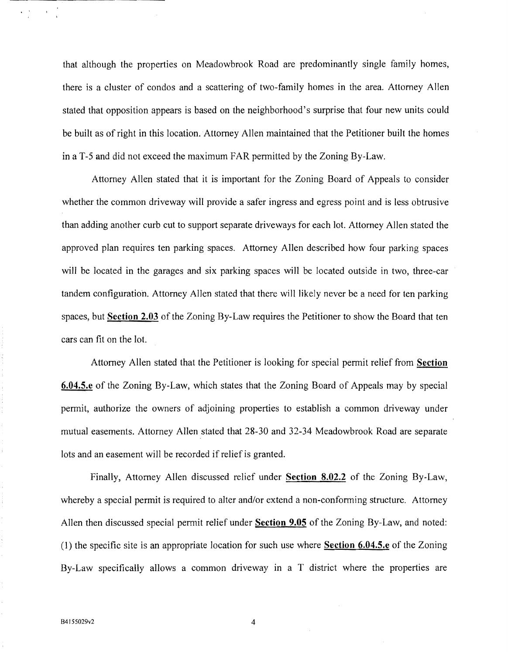that although the properties on Meadowbrook Road are predominantly single family homes, there is a cluster of condos and a scattering of two-family homes in the area. Attorney Allen stated that opposition appears is based on the neighborhood's surprise that four new units could be built as of right in this location. Attorney Allen maintained that the Petitioner built the homes in a T-5 and did not exceed the maximum FAR permitted by the Zoning By-Law.

Attorney Allen stated that **it** is important for the Zoning Board of Appeals to consider whether the common driveway will provide a safer ingress and egress point and is less obtrusive than adding another curb cut to support separate driveways for each lot Attorney Allen stated the approved plan requires ten parking spaces. Attorney Allen described how four parking spaces will be located in the garages and six parking spaces will be located outside in two, three-car tandem configuration. Attorney Allen stated that there will likely never be a need for ten parking spaces, but **Section 2.03** of the Zoning By-Law requires the Petitioner to show the Board that ten cars can fit on the lot

Attorney Allen stated that the Petitioner is looking for special permit relief from **Section 6.04.5.e** of the Zoning By-Law, which states that the Zoning Board of Appeals may by special permit, authorize the owners of adjoining properties to establish a common driveway under mutual easements. Attorney Allen stated that 28-30 and 32-34 Meadowbrook Road are separate lots and an easement will be recorded if relief is granted.

Finally, Attorney Allen discussed relief under **Section 8.02.2** of the Zoning By-Law, whereby a special permit is required to alter and/or extend a non-conforming structure. Attorney Allen then discussed special permit relief under **Section 9.05** of the Zoning By-Law, and noted: (1) the specific site is an appropriate location for such use where **Section 6.04.5.e** of the Zoning By-Law specifically allows a common driveway in a T district where the properties are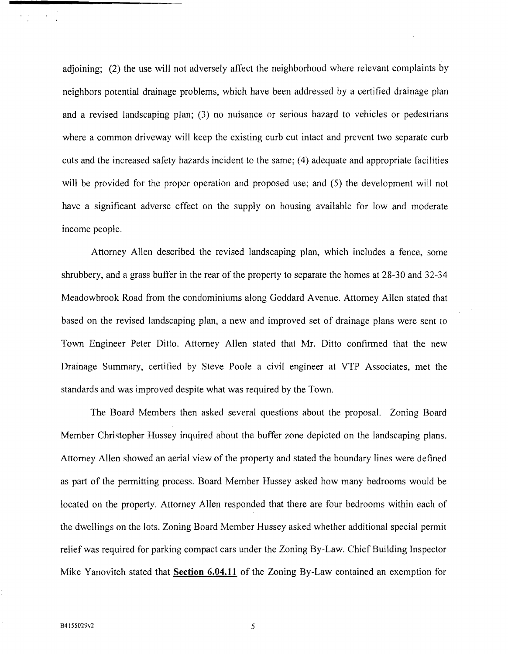adjoining; (2) the use will not adversely affect the neighborhood where relevant complaints by neighbors potential drainage problems, which have been addressed by a certified drainage plan and a revised landscaping plan; (3) no nuisance or serious hazard to vehicles or pedestrians where a common driveway will keep the existing curb cut intact and prevent two separate curb cuts and the increased safety hazards incident to the same; (4) adequate and appropriate facilities will be provided for the proper operation and proposed use; and  $(5)$  the development will not have a significant adverse effect on the supply on housing available for low and moderate income people.

Attorney Allen described the revised landscaping plan, which includes a fence, some shrubbery, and a grass buffer in the rear of the property to separate the homes at 28-30 and 32-34 Meadowbrook Road from the condominiums along Goddard A venue. Attorney Allen stated that based on the revised landscaping plan, a new and improved set of drainage plans were sent to Town Engineer Peter Ditto. Attorney Allen stated that Mr. Ditto confirmed that the new Drainage Summary, certified by Steve Poole a civil engineer at VTP Associates, met the standards and was improved despite what was required by the Town.

The Board Members then asked several questions about the proposal. Zoning Board Member Christopher Hussey inquired about the buffer zone depicted on the landscaping plans. Attorney Allen showed an aerial view of the property and stated the boundary lines were defined as part of the permitting process. Board Member Hussey asked how many bedrooms would be located on the property. Attorney Allen responded that there are four bedrooms within each of the dwellings on the lots. Zoning Board Member Hussey asked whether additional special permit relief was required for parking compact cars under the Zoning By-Law. Chief Building Inspector Mike Yanovitch stated that **Section 6.04.11** of the Zoning By-Law contained an exemption for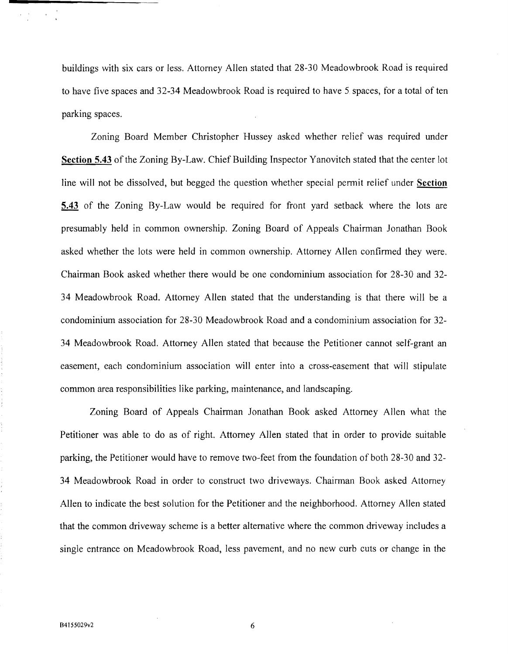buildings with six cars or less. Attorney Allen stated that 28-30 Meadowbrook Road is required to have five spaces and 32-34 Meadowbrook Road is required to have 5 spaces, for a total of ten parking spaces.

Zoning Board Member Christopher Hussey asked whether relief was required under **Section 5.43** of the Zoning By-Law. Chief Building Inspector Yanovitch stated that the center lot line will not be dissolved, but begged the question whether special permit relief under **Section 5.43** of the Zoning By-Law would be required for front yard setback where the lots are presumably held in common ownership. Zoning Board of Appeals Chairman Jonathan Book asked whether the lots were held in common ownership. Attorney Allen confirmed they were. Chairman Book asked whether there would be one condominium association for 28-30 and 32 34 Meadowbrook Road. Attorney Allen stated that the understanding is that there will be a condominium association for 28-30 Meadowbrook Road and a condominium association for 32 34 Meadowbrook Road. Attorney Allen stated that because the Petitioner cannot self-grant an easement, each condominium association will enter into a cross-easement that will stipulate common area responsibilities like parking, maintenance, and landscaping.

Zoning Board of Appeals Chairman Jonathan Book asked Attorney Allen what the Petitioner was able to do as of right. Attorney Allen stated that in order to provide suitable parking, the Petitioner would have to remove two-feet from the foundation of both 28-30 and 32 34 Meadowbrook Road in order to construct two driveways. Chairman Book asked Attorney Allen to indicate the best solution for the Petitioner and the neighborhood. Attorney Allen stated that the common driveway scheme is a better alternative where the common driveway includes a single entrance on Meadowbrook Road, less pavement, and no new curb cuts or change in the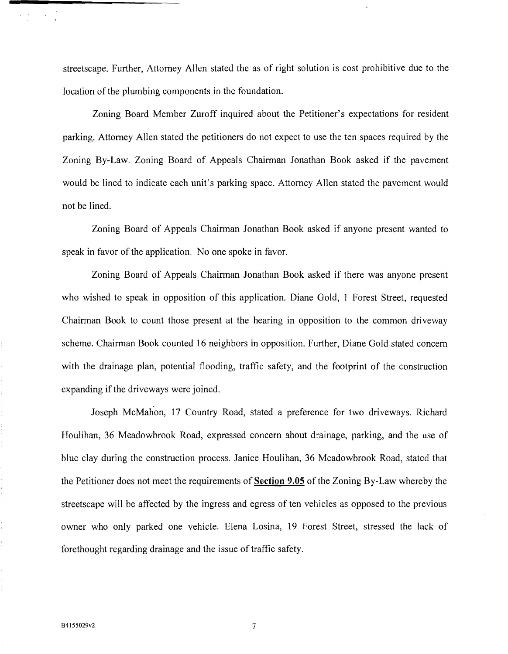streetscape. Further, Attorney Allen stated the as of right solution is cost prohibitive due to the location of the plumbing components in the foundation.

Zoning Board Member Zuroff inquired about the Petitioner's expectations for resident parking. Attorney Allen stated the petitioners do not expect to use the ten spaces required by the Zoning By-Law. Zoning Board of Appeals Chairman Jonathan Book asked if the pavement would be lined to indicate each unit's parking space. Attorney Allen stated the pavement would not be lined.

Zoning Board of Appeals Chairman Jonathan Book asked if anyone present wanted to speak in favor of the application. No one spoke in favor.

Zoning Board of Appeals Chairman Jonathan Book asked if there was anyone present who wished to speak in opposition of this application. Diane Gold, 1 Forest Street, requested Chairman Book to count those present at the hearing in opposition to the common driveway scheme. Chairman Book counted 16 neighbors in opposition. Further, Diane Gold stated concern with the drainage plan, potential flooding, traffic safety, and the footprint of the construction expanding if the driveways were joined.

Joseph McMahon, 17 Country Road, stated a preference for two driveways. Richard Houlihan, 36 Meadowbrook Road, expressed concern about drainage, parking, and the use of blue clay during the construction process. Janice Houlihan, 36 Meadowbrook Road, stated that the Petitioner does not meet the requirements of Section **9.05** of the Zoning By-Law whereby the streetscape will be affected by the ingress and egress of ten vehicles as opposed to the previous owner who only parked one vehicle. Elena Losina, 19 Forest Street, stressed the lack of forethought regarding drainage and the issue of traffic safety.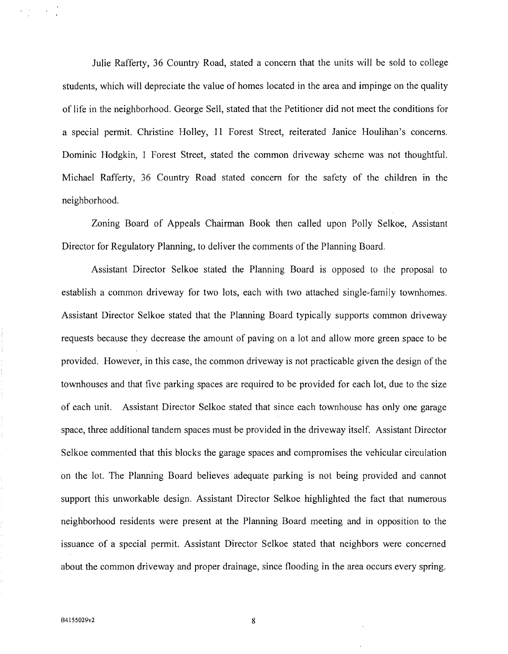Julie Rafferty, 36 Country Road, stated a concern that the units will be sold to college students, which will depreciate the value of homes located in the area and impinge on the quality of life in the neighborhood. George Sell, stated that the Petitioner did not meet the conditions for a special permit. Christine Holley, 11 Forest Street, reiterated Janice Houlihan's concerns. Dominic Hodgkin, 1 Forest Street, stated the common driveway scheme was not thoughtful. Michael Rafferty, 36 Country Road stated concern for the safety of the children in the neighborhood.

Zoning Board of Appeals Chairman Book then called upon Polly Selkoe, Assistant Director for Regulatory Planning, to deliver the comments of the Planning Board.

Assistant Director Selkoe stated the Planning Board is opposed to the proposal to establish a common driveway for two lots, each with two attached single-family townhomes. Assistant Director Selkoe stated that the Planning Board typically supports common driveway requests because they decrease the amount of paving on a lot and allow more green space to be provided. However, in this case, the common driveway is not practicable given the design of the townhouses and that five parking spaces are required to be provided for each lot, due to the size of each unit. Assistant Director Selkoe stated that since each townhouse has only one garage space, three additional tandem spaces must be provided in the driveway itself. Assistant Director Selkoe commented that this blocks the garage spaces and compromises the vehicular circulation on the lot. The Planning Board believes adequate parking is not being provided and cannot support this unworkable design. Assistant Director Selkoe highlighted the fact that numerous neighborhood residents were present at the Planning Board meeting and in opposition to the issuance of a special permit. Assistant Director Selkoe stated that neighbors were concerned about the common driveway and proper drainage, since flooding in the area occurs every spring.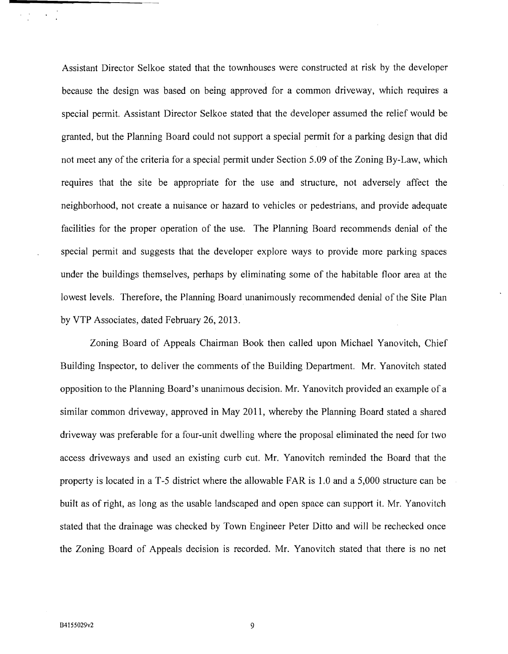Assistant Director Selkoe stated that the townhouses were constructed at risk by the developer because the design was based on being approved for a common driveway, which requires a special pennit. Assistant Director Selkoe stated that the developer assumed the relief would be granted, but the Planning Board could not support a special pennit for a parking design that did not meet any of the criteria for a special permit under Section 5.09 of the Zoning By-Law, which requires that the site be appropriate for the use and structure, not adversely affect the neighborhood, not create a nuisance or hazard to vehicles or pedestrians, and provide adequate facilities for the proper operation of the use. The Planning Board recommends denial of the special pennit and suggests that the developer explore ways to provide more parking spaces under the buildings themselves, perhaps by eliminating some of the habitable floor area at the lowest levels. Therefore, the Planning Board unanimously recommended denial of the Site Plan by VTP Associates, dated February 26,2013.

Zoning Board of Appeals Chairman Book then called upon Michael Yanovitch, Chief Building Inspector, to deliver the comments of the Building Department. Mr. Yanovitch stated opposition to the Planning Board's unanimous decision. Mr. Yanovitch provided an example of a similar common driveway, approved in May 2011, whereby the Planning Board stated a shared driveway was preferable for a four-unit dwelling where the proposal eliminated the need for two access driveways and used an existing curb cut. Mr. Yanovitch reminded the Board that the property is located in a T -5 district where the allowable FAR is 1.0 and a 5,000 structure can be built as of right, as long as the usable landscaped and open space can support it. Mr. Yanovitch stated that the drainage was checked by Town Engineer Peter Ditto and will be rechecked once the Zoning Board of Appeals decision is recorded. Mr. Yanovitch stated that there is no net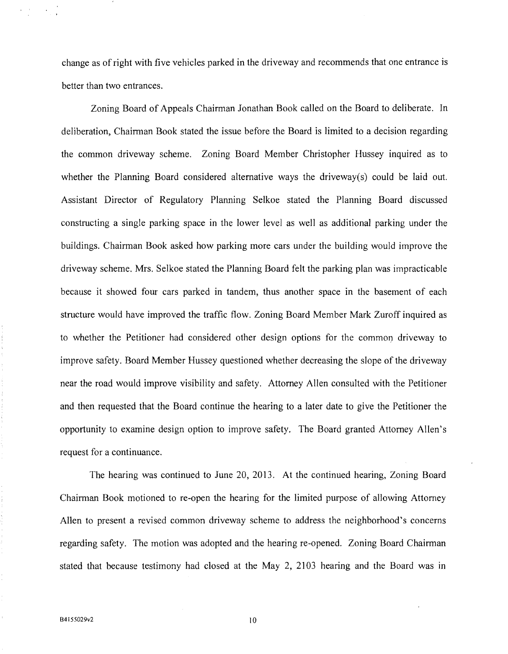change as of right with five vehicles parked in the driveway and recommends that one entrance is better than two entrances.

Zoning Board of Appeals Chairman Jonathan Book called on the Board to deliberate. In deliberation, Chairman Book stated the issue before the Board is limited to a decision regarding the common driveway scheme. Zoning Board Member Christopher Hussey inquired as to whether the Planning Board considered alternative ways the driveway(s) could be laid out. Assistant Director of Regulatory Planning Selkoe stated the Planning Board discussed constructing a single parking space in the lower level as well as additional parking under the buildings. Chairman Book asked how parking more cars under the building would improve the driveway scheme. Mrs. Selkoe stated the Planning Board felt the parking plan was impracticable because it showed four cars parked in tandem, thus another space in the basement of each structure would have improved the traffic flow. Zoning Board Member Mark Zuroff inquired as to whether the Petitioner had considered other design options for the common driveway to improve safety. Board Member Hussey questioned whether decreasing the slope of the driveway near the road would improve visibility and safety. Attorney Allen consulted with the Petitioner and then requested that the Board continue the hearing to a later date to give the Petitioner the opportunity to examine design option to improve safety. The Board granted Attorney Allen's request for a continuance.

The hearing was continued to June 20, 2013. At the continued hearing, Zoning Board Chairman Book motioned to re-open the hearing for the limited purpose of allowing Attorney Allen to present a revised common driveway scheme to address the neighborhood's concerns regarding safety. The motion was adopted and the hearing re-opened. Zoning Board Chairman stated that because testimony had closed at the May 2, 2103 hearing and the Board was in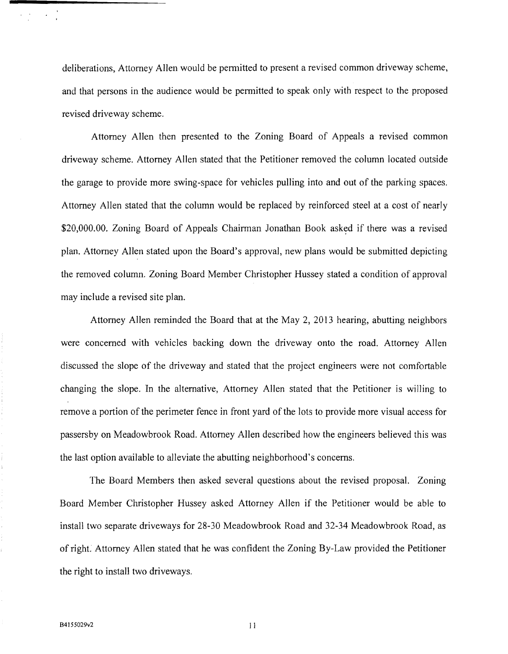deliberations, Attorney Allen would be permitted to present a revised common driveway scheme, and that persons in the audience would be permitted to speak only with respect to the proposed revised driveway scheme.

Attorney Allen then presented to the Zoning Board of Appeals a revised common driveway scheme. Attorney Allen stated that the Petitioner removed the column located outside the garage to provide more swing-space for vehicles pulling into and out of the parking spaces. Attorney Allen stated that the column would be replaced by reinforced steel at a cost of nearly \$20,000.00. Zoning Board of Appeals Chairman Jonathan Book asked if there was a revised plan. Attorney Allen stated upon the Board's approval, new plans would be submitted depicting the removed column. Zoning Board Member Christopher Hussey stated a condition of approval may include a revised site plan.

Attorney Allen reminded the Board that at the May 2, 2013 hearing, abutting neighbors were concerned with vehicles backing down the driveway onto the road. Attorney Allen discussed the slope of the driveway and stated that the project engineers were not comfortable changing the slope. In the alternative, Attorney Allen stated that the Petitioner is willing to remove a portion of the perimeter fence in front yard of the lots to provide more visual access for passersby on Meadowbrook Road. Attorney Allen described how the engineers believed this was the last option available to alleviate the abutting neighborhood's concerns.

The Board Members then asked several questions about the revised proposal. Zoning Board Member Christopher Hussey asked Attorney Allen if the Petitioner would be able to install two separate driveways for 28-30 Meadowbrook Road and 32-34 Meadowbrook Road, as of right. Attorney Allen stated that he was confident the Zoning By-Law provided the Petitioner the right to install two driveways.

 $\mathcal{O}(\mathcal{O}(\log n))$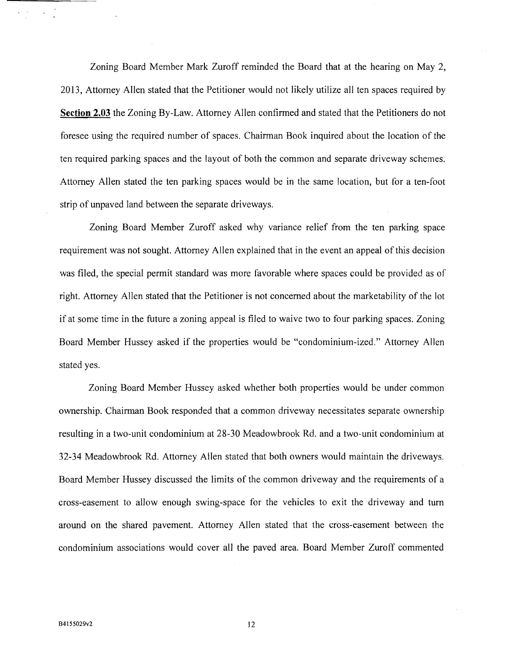Zoning Board Member Mark Zuroff reminded the Board that at the hearing on May 2, 2013, Attorney Allen stated that the Petitioner would not likely utilize all ten spaces required by **Section 2.03** the Zoning By-Law. Attorney Allen confirmed and stated that the Petitioners do not foresee using the required number of spaces. Chairman Book inquired about the location of the ten required parking spaces and the layout of both the common and separate driveway schemes. Attorney Allen stated the ten parking spaces would be in the same location, but for a ten-foot strip of unpaved land between the separate driveways.

Zoning Board Member Zuroff asked why variance relief from the ten parking space requirement was not sought. Attorney Allen explained that in the event an appeal of this decision was filed, the special permit standard was more favorable where spaces could be provided as of right. Attorney Allen stated that the Petitioner is not concerned about the marketability of the lot if at some time in the future a zoning appeal is filed to waive two to four parking spaces. Zoning Board Member Hussey asked if the properties would be "condominium-ized." Attorney Allen stated yes.

Zoning Board Member Hussey asked whether both properties would be under common ownership. Chairman Book responded that a common driveway necessitates separate ownership resulting in a two-unit condominium at 28-30 Meadowbrook Rd. and a two-unit condominium at 32-34 Meadowbrook Rd. Attorney Allen stated that both owners would maintain the driveways. Board Member Hussey discussed the limits of the common driveway and the requirements of a cross-easement to allow enough swing-space for the vehicles to exit the driveway and tum around on the shared pavement. Attorney Allen stated that the cross-easement between the condominium associations would cover all the paved area. Board Member Zuroff commented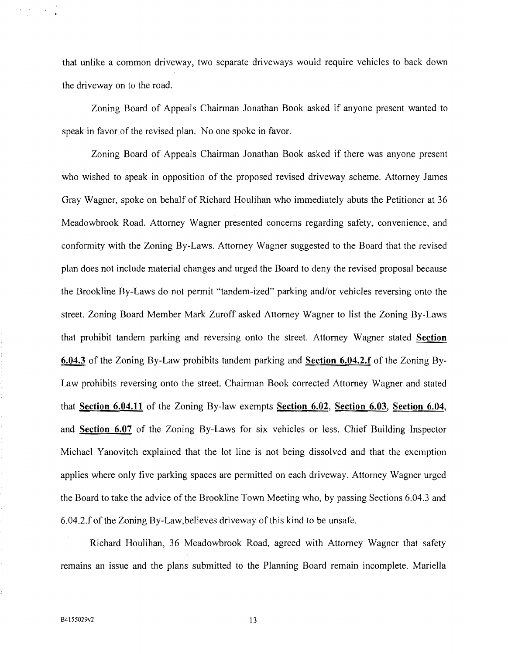that unlike a common driveway, two separate driveways would require vehicles to back down the driveway on to the road.

Zoning Board of Appeals Chairman Jonathan Book asked if anyone present wanted to speak in favor of the revised plan. No one spoke in favor.

Zoning Board of Appeals Chairman Jonathan Book asked if there was anyone present who wished to speak in opposition of the proposed revised driveway scheme. Attorney James Gray Wagner, spoke on behalf of Richard Houlihan who immediately abuts the Petitioner at 36 Meadowbrook Road. Attorney Wagner presented concerns regarding safety, convenience, and conformity with the Zoning By-Laws. Attorney Wagner suggested to the Board that the revised plan does not include material changes and urged the Board to deny the revised proposal because the Brookline By-Laws do not permit "tandem-ized" parking and/or vehicles reversing onto the street. Zoning Board Member Mark Zuroff asked Attorney Wagner to list the Zoning By-Laws that prohibit tandem parking and reversing onto the street. Attorney Wagner stated **Section 6.04.3** of the Zoning By-Law prohibits tandem parking and **Section 6.04.2.f** of the Zoning By-Law prohibits reversing onto the street. Chairman Book corrected Attorney Wagner and stated that **Section 6.04.11** of the Zoning By-law exempts **Section 6.02, Section 6.03, Section 6.04,**  and **Section 6.07** of the Zoning By-Laws for six vehicles or less. Chief Building Inspector Michael Yanovitch explained that the lot line is not being dissolved and that the exemption applies where only five parking spaces are permitted on each driveway. Attorney Wagner urged the Board to take the advice of the Brookline Town Meeting who, by passing Sections 6.04.3 and 6.04.2.f of the Zoning By-Law,believes driveway of this kind to be unsafe.

Richard Houlihan, 36 Meadowbrook Road, agreed with Attorney Wagner that safety remains an issue and the plans submitted to the Planning Board remain incomplete. Mariella

 $\mathcal{C}^{\mathcal{A}}$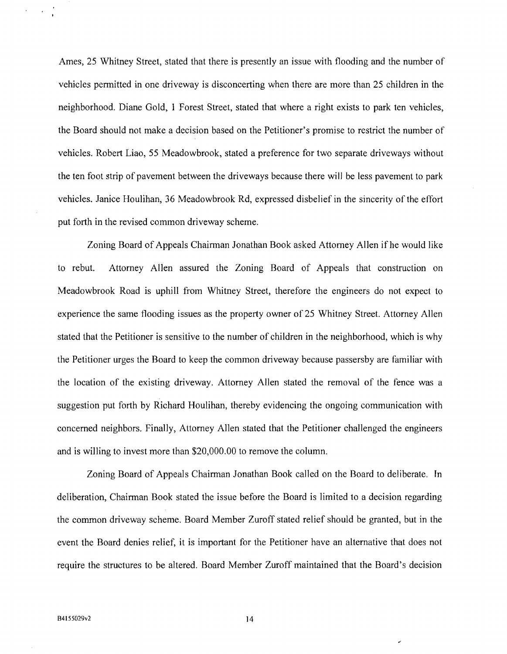Ames, 25 Whitney Street, stated that there is presently an issue with flooding and the number of vehicles permitted in one driveway is disconcerting when there are more than 25 children in the neighborhood. Diane Gold, 1 Forest Street, stated that where a right exists to park ten vehicles, the Board should not make a decision based on the Petitioner's promise to restrict the number of vehicles. Robert Liao, 55 Meadowbrook, stated a preference for two separate driveways without the ten foot strip of pavement between the driveways because there will be less pavement to park vehicles. Janice Houlihan, 36 Meadowbrook Rd, expressed disbelief in the sincerity of the effort put forth in the revised common driveway scheme.

Zoning Board of Appeals Chairman Jonathan Book asked Attorney Allen ifhe would like to rebut. Attorney Allen assured the Zoning Board of Appeals that construction on Meadowbrook Road is uphill from Whitney Street, therefore the engineers do not expect to experience the same flooding issues as the property owner of 25 Whitney Street. Attorney Allen stated that the Petitioner is sensitive to the number of children in the neighborhood, which is why the Petitioner urges the Board to keep the common driveway because passersby are familiar with the location of the existing driveway. Attorney Allen stated the removal of the fence was a suggestion put forth by Richard Houlihan, thereby evidencing the ongoing communication with concerned neighbors. Finally, Attorney Allen stated that the Petitioner challenged the engineers and is willing to invest more than \$20,000.00 to remove the column.

Zoning Board of Appeals Chairman Jonathan Book called on the Board to deliberate. In deliberation, Chairman Book stated the issue before the Board is limited to a decision regarding the common driveway scheme. Board Member Zuroff stated relief should be granted, but in the event the Board denies relief, it is important for the Petitioner have an alternative that does not require the structures to be altered. Board Member Zuroff maintained that the Board's decision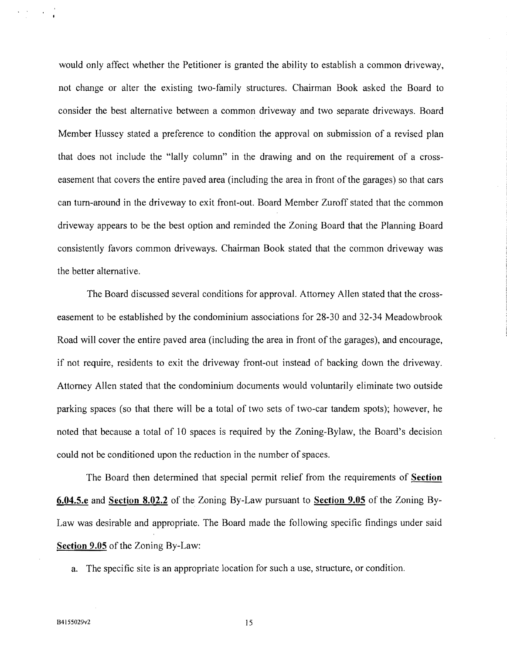would only affect whether the Petitioner is granted the ability to establish a common driveway, not change or alter the existing two-family structures. Chairman Book asked the Board to consider the best alternative between a common driveway and two separate driveways. Board Member Hussey stated a preference to condition the approval on submission of a revised plan that does not include the "lally column" in the drawing and on the requirement of a crosseasement that covers the entire paved area (including the area in front of the garages) so that cars can tum-around in the driveway to exit front-out. Board Member Zuroff stated that the common driveway appears to be the best option and reminded the Zoning Board that the Planning Board consistently favors common driveways. Chairman Book stated that the common driveway was the better alternative.

The Board discussed several conditions for approval. Attorney Allen stated that the crosseasement to be established by the condominium associations for 28-30 and 32-34 Meadowbrook Road will cover the entire paved area (including the area in front of the garages), and encourage, if not require, residents to exit the driveway front-out instead of backing down the driveway. Attorney Allen stated that the condominium documents would voluntarily eliminate two outside parking spaces (so that there will be a total of two sets of two-car tandem spots); however, he noted that because a total of 10 spaces is required by the Zoning-Bylaw, the Board's decision could not be conditioned upon the reduction in the number of spaces.

The Board then determined that special permit relief from the requirements of **Section 6.04.5.e** and **Section 8.02.2** of the Zoning By-Law pursuant to **Section 9.05** of the Zoning By-Law was desirable and appropriate. The Board made the following specific findings under said **Section 9.05** of the Zoning By-Law:

a. The specific site is an appropriate location for such a use, structure, or condition.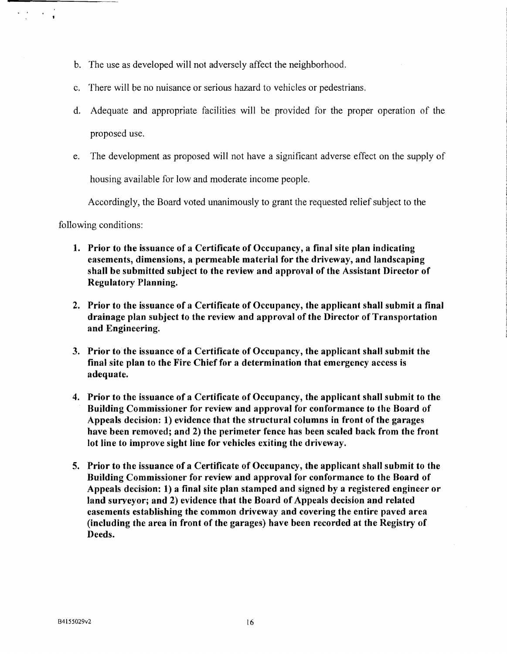- b. The use as developed will not adversely affect the neighborhood.
- c. There will be no nuisance or serious hazard to vehicles or pedestrians.
- d. Adequate and appropriate facilities will be provided for the proper operation of the proposed use.
- e. The development as proposed will not have a significant adverse effect on the supply of

housing available for low and moderate income people.

Accordingly, the Board voted unanimously to grant the requested relief subject to the

following conditions:

 $\epsilon$  ,  $\epsilon$  ,  $\epsilon$  ,  $\epsilon$ 

- 1. Prior to the issuance of a Certificate of Occupancy, a final site plan indicating easements, dimensions, a permeable material for the driveway, and landscaping shall be submitted subject to the review and approval of the Assistant Director of Regulatory Planning.
- 2. Prior to the issuance of a Certificate of Occupancy, the applicant shall submit a final drainage plan subject to the review and approval of the Director of Transportation and Engineering.
- 3. Prior to the issuance of a Certificate of Occupancy, the applicant shall submit the final site plan to the Fire Chief for a determination that emergency access is adequate.
- 4. Prior to the issuance of a Certificate of Occupancy, the applicant shall submit to the Building Commissioner for review and approval for conformance to the Board of Appeals decision: 1) evidence that the structural columns in front of the garages have been removed; and 2) the perimeter fence has been scaled back from the front lot line to improve sight line for vehicles exiting the driveway.
- 5. Prior to the issuance of a Certificate of Occupancy, the applicant shall submit to the Building Commissioner for review and approval for conformance to the Board of Appeals decision: 1) a final site plan stamped and signed by a registered engineer or land surveyor; and 2) evidence that the Board of Appeals decision and related easements establishing the common driveway and covering the entire paved area (including the area in front of the garages) have been recorded at the Registry of Deeds.